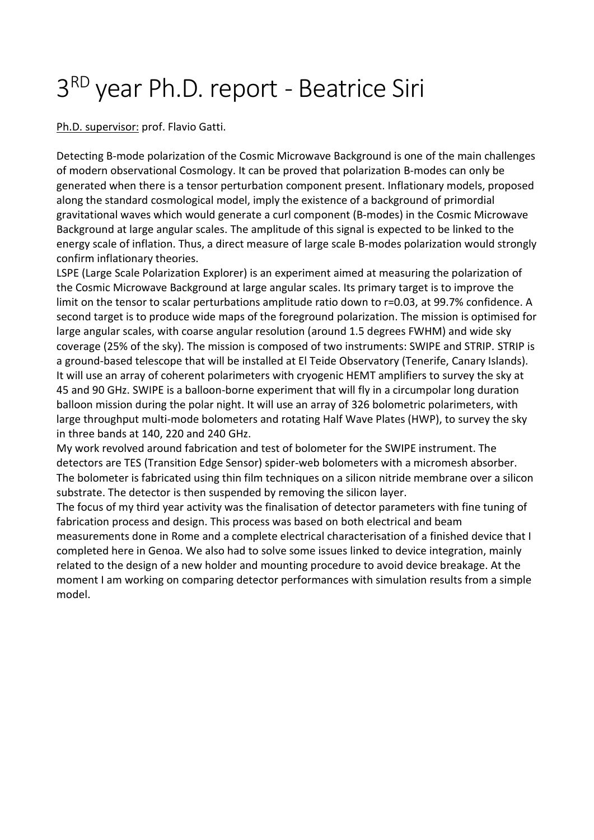## 3 RD year Ph.D. report - Beatrice Siri

Ph.D. supervisor: prof. Flavio Gatti.

Detecting B-mode polarization of the Cosmic Microwave Background is one of the main challenges of modern observational Cosmology. It can be proved that polarization B-modes can only be generated when there is a tensor perturbation component present. Inflationary models, proposed along the standard cosmological model, imply the existence of a background of primordial gravitational waves which would generate a curl component (B-modes) in the Cosmic Microwave Background at large angular scales. The amplitude of this signal is expected to be linked to the energy scale of inflation. Thus, a direct measure of large scale B-modes polarization would strongly confirm inflationary theories.

LSPE (Large Scale Polarization Explorer) is an experiment aimed at measuring the polarization of the Cosmic Microwave Background at large angular scales. Its primary target is to improve the limit on the tensor to scalar perturbations amplitude ratio down to r=0.03, at 99.7% confidence. A second target is to produce wide maps of the foreground polarization. The mission is optimised for large angular scales, with coarse angular resolution (around 1.5 degrees FWHM) and wide sky coverage (25% of the sky). The mission is composed of two instruments: SWIPE and STRIP. STRIP is a ground-based telescope that will be installed at El Teide Observatory (Tenerife, Canary Islands). It will use an array of coherent polarimeters with cryogenic HEMT amplifiers to survey the sky at 45 and 90 GHz. SWIPE is a balloon-borne experiment that will fly in a circumpolar long duration balloon mission during the polar night. It will use an array of 326 bolometric polarimeters, with large throughput multi-mode bolometers and rotating Half Wave Plates (HWP), to survey the sky in three bands at 140, 220 and 240 GHz.

My work revolved around fabrication and test of bolometer for the SWIPE instrument. The detectors are TES (Transition Edge Sensor) spider-web bolometers with a micromesh absorber. The bolometer is fabricated using thin film techniques on a silicon nitride membrane over a silicon substrate. The detector is then suspended by removing the silicon layer.

The focus of my third year activity was the finalisation of detector parameters with fine tuning of fabrication process and design. This process was based on both electrical and beam measurements done in Rome and a complete electrical characterisation of a finished device that I completed here in Genoa. We also had to solve some issues linked to device integration, mainly related to the design of a new holder and mounting procedure to avoid device breakage. At the moment I am working on comparing detector performances with simulation results from a simple model.